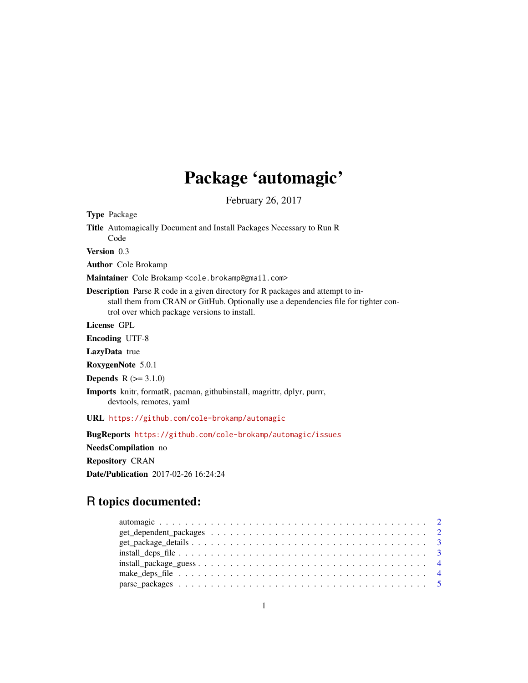## Package 'automagic'

February 26, 2017

<span id="page-0-0"></span>Type Package

Title Automagically Document and Install Packages Necessary to Run R Code

Version 0.3

Author Cole Brokamp

Maintainer Cole Brokamp <cole.brokamp@gmail.com>

Description Parse R code in a given directory for R packages and attempt to install them from CRAN or GitHub. Optionally use a dependencies file for tighter control over which package versions to install.

License GPL

Encoding UTF-8

LazyData true

RoxygenNote 5.0.1

**Depends**  $R (= 3.1.0)$ 

Imports knitr, formatR, pacman, githubinstall, magrittr, dplyr, purrr, devtools, remotes, yaml

URL <https://github.com/cole-brokamp/automagic>

BugReports <https://github.com/cole-brokamp/automagic/issues>

NeedsCompilation no

Repository CRAN

Date/Publication 2017-02-26 16:24:24

## R topics documented:

| $\text{install}\_\text{package\_\text{guess}\_\text{}\_\text{}$ |  |
|-----------------------------------------------------------------|--|
|                                                                 |  |
|                                                                 |  |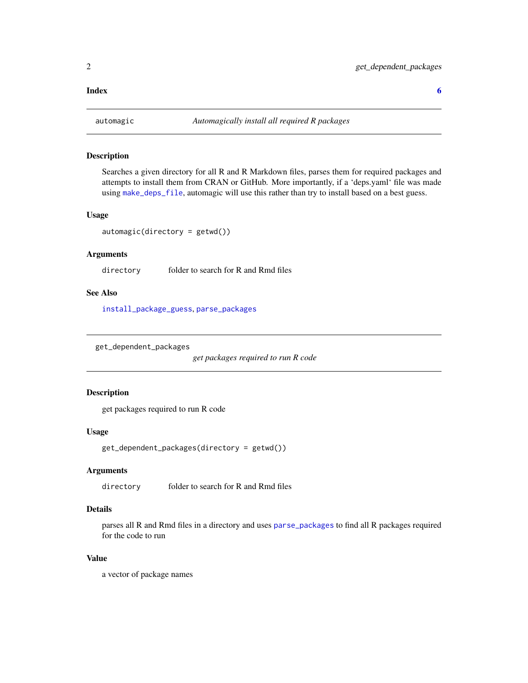#### <span id="page-1-0"></span>**Index** [6](#page-5-0) **6**

<span id="page-1-1"></span>

#### Description

Searches a given directory for all R and R Markdown files, parses them for required packages and attempts to install them from CRAN or GitHub. More importantly, if a 'deps.yaml' file was made using [make\\_deps\\_file](#page-3-1), automagic will use this rather than try to install based on a best guess.

#### Usage

 $automagic(directory = getwd())$ 

#### Arguments

directory folder to search for R and Rmd files

#### See Also

[install\\_package\\_guess](#page-3-2), [parse\\_packages](#page-4-1)

get\_dependent\_packages

*get packages required to run R code*

#### Description

get packages required to run R code

#### Usage

get\_dependent\_packages(directory = getwd())

#### Arguments

directory folder to search for R and Rmd files

#### Details

parses all R and Rmd files in a directory and uses [parse\\_packages](#page-4-1) to find all R packages required for the code to run

#### Value

a vector of package names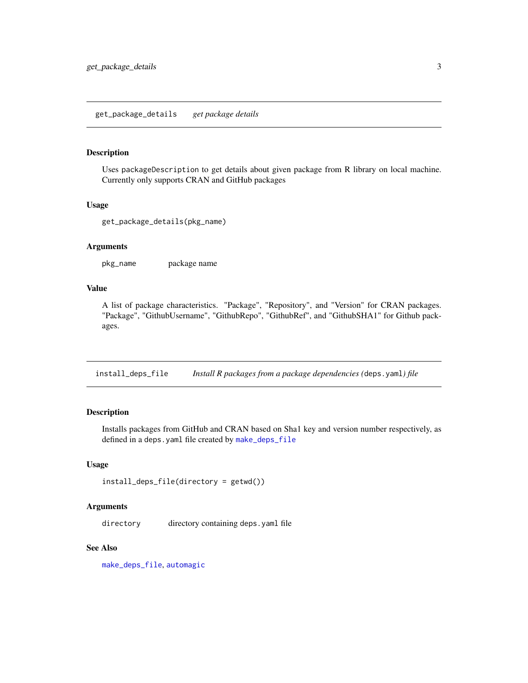#### <span id="page-2-0"></span>Description

Uses packageDescription to get details about given package from R library on local machine. Currently only supports CRAN and GitHub packages

#### Usage

```
get_package_details(pkg_name)
```
#### Arguments

pkg\_name package name

#### Value

A list of package characteristics. "Package", "Repository", and "Version" for CRAN packages. "Package", "GithubUsername", "GithubRepo", "GithubRef", and "GithubSHA1" for Github packages.

<span id="page-2-1"></span>install\_deps\_file *Install R packages from a package dependencies (*deps.yaml*) file*

#### Description

Installs packages from GitHub and CRAN based on Sha1 key and version number respectively, as defined in a deps.yaml file created by [make\\_deps\\_file](#page-3-1)

#### Usage

```
install_deps_file(directory = getwd())
```
#### Arguments

directory directory containing deps.yaml file

#### See Also

[make\\_deps\\_file](#page-3-1), [automagic](#page-1-1)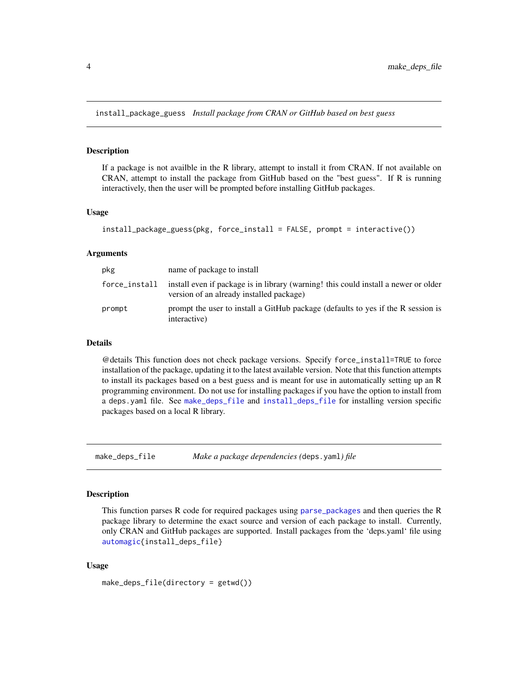<span id="page-3-2"></span><span id="page-3-0"></span>install\_package\_guess *Install package from CRAN or GitHub based on best guess*

#### Description

If a package is not availble in the R library, attempt to install it from CRAN. If not available on CRAN, attempt to install the package from GitHub based on the "best guess". If R is running interactively, then the user will be prompted before installing GitHub packages.

#### Usage

```
install_package_guess(pkg, force_install = FALSE, prompt = interactive())
```
#### Arguments

| pkg           | name of package to install                                                                                                      |
|---------------|---------------------------------------------------------------------------------------------------------------------------------|
| force_install | install even if package is in library (warning! this could install a newer or older<br>version of an already installed package) |
| prompt        | prompt the user to install a GitHub package (defaults to yes if the R session is<br>interactive)                                |

#### Details

@details This function does not check package versions. Specify force\_install=TRUE to force installation of the package, updating it to the latest available version. Note that this function attempts to install its packages based on a best guess and is meant for use in automatically setting up an R programming environment. Do not use for installing packages if you have the option to install from a deps.yaml file. See [make\\_deps\\_file](#page-3-1) and [install\\_deps\\_file](#page-2-1) for installing version specific packages based on a local R library.

<span id="page-3-1"></span>make\_deps\_file *Make a package dependencies (*deps.yaml*) file*

#### Description

This function parses R code for required packages using [parse\\_packages](#page-4-1) and then queries the R package library to determine the exact source and version of each package to install. Currently, only CRAN and GitHub packages are supported. Install packages from the 'deps.yaml' file using [automagic{](#page-1-1)install\_deps\_file}

#### Usage

```
make_deps_file(directory = getwd())
```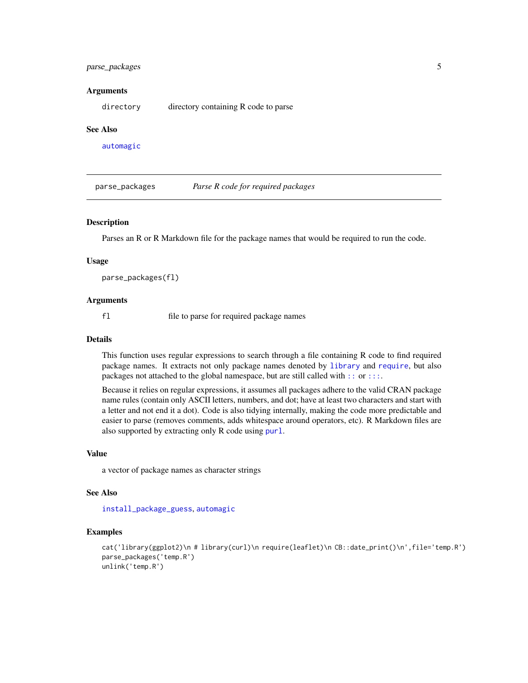#### <span id="page-4-0"></span>parse\_packages 5

#### Arguments

directory directory containing R code to parse

#### See Also

[automagic](#page-1-1)

<span id="page-4-1"></span>parse\_packages *Parse R code for required packages*

#### **Description**

Parses an R or R Markdown file for the package names that would be required to run the code.

#### Usage

parse\_packages(fl)

#### Arguments

fl file to parse for required package names

#### Details

This function uses regular expressions to search through a file containing R code to find required package names. It extracts not only package names denoted by [library](#page-0-0) and [require](#page-0-0), but also packages not attached to the global namespace, but are still called with [::](#page-0-0) or [:::](#page-0-0).

Because it relies on regular expressions, it assumes all packages adhere to the valid CRAN package name rules (contain only ASCII letters, numbers, and dot; have at least two characters and start with a letter and not end it a dot). Code is also tidying internally, making the code more predictable and easier to parse (removes comments, adds whitespace around operators, etc). R Markdown files are also supported by extracting only R code using [purl](#page-0-0).

#### Value

a vector of package names as character strings

#### See Also

[install\\_package\\_guess](#page-3-2), [automagic](#page-1-1)

#### Examples

```
cat('library(ggplot2)\n # library(curl)\n require(leaflet)\n CB::date_print()\n',file='temp.R')
parse_packages('temp.R')
unlink('temp.R')
```